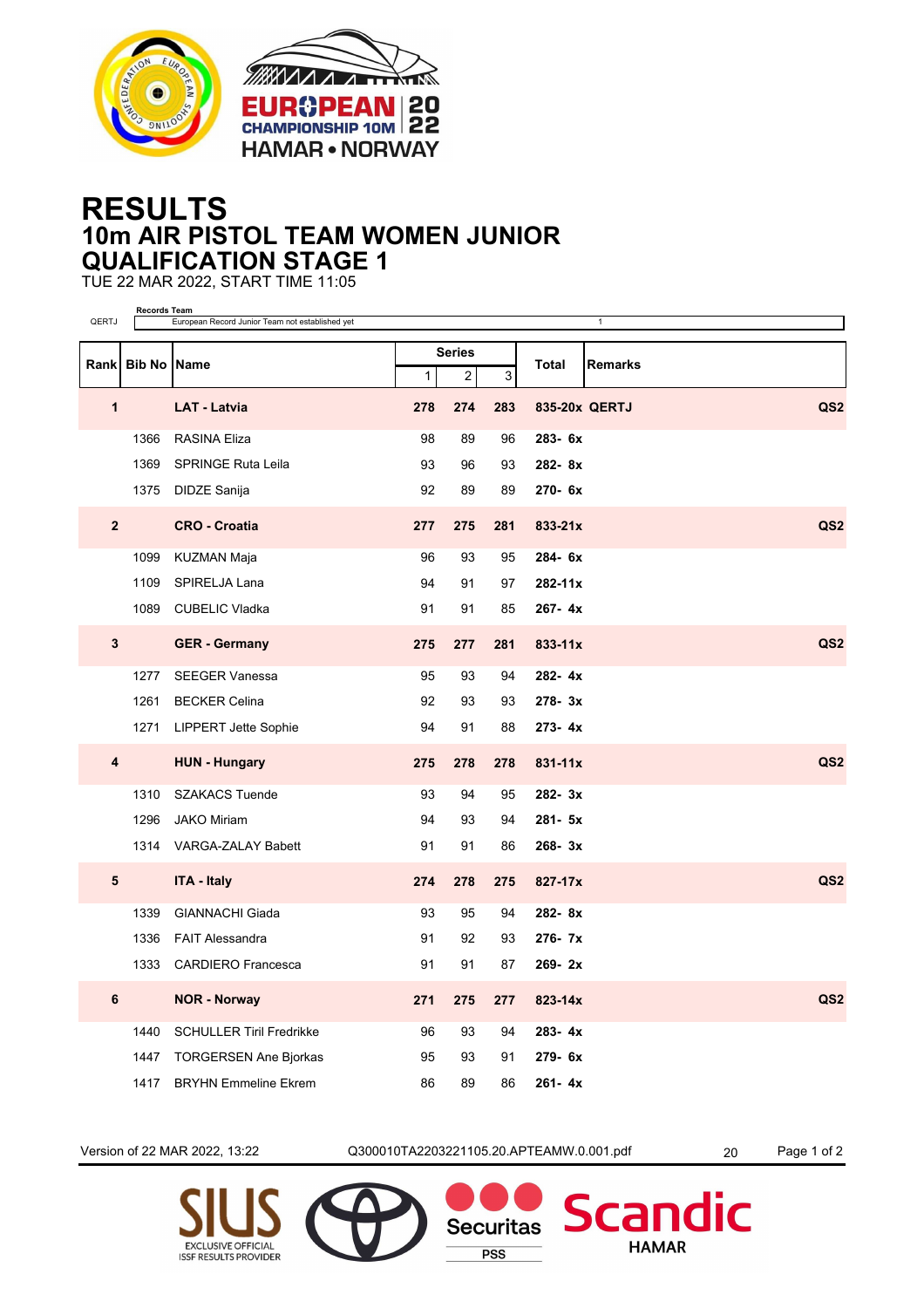



## **RESULTS 10m AIR PISTOL TEAM WOMEN JUNIOR QUALIFICATION STAGE 1**

TUE 22 MAR 2022, START TIME 11:05

| QERTJ           | <b>Records Team</b><br>European Record Junior Team not established yet<br>$\mathbf{1}$ |                                 |               |                |     |                            |  |  |
|-----------------|----------------------------------------------------------------------------------------|---------------------------------|---------------|----------------|-----|----------------------------|--|--|
|                 |                                                                                        |                                 | <b>Series</b> |                |     |                            |  |  |
|                 | Rank Bib No Name                                                                       |                                 | $\mathbf{1}$  | $\overline{c}$ | 3   | <b>Remarks</b><br>Total    |  |  |
| $\mathbf{1}$    |                                                                                        | <b>LAT - Latvia</b>             | 278           | 274            | 283 | QS2<br>835-20x QERTJ       |  |  |
|                 | 1366                                                                                   | <b>RASINA Eliza</b>             | 98            | 89             | 96  | 283-6x                     |  |  |
|                 | 1369                                                                                   | <b>SPRINGE Ruta Leila</b>       | 93            | 96             | 93  | $282 - 8x$                 |  |  |
|                 |                                                                                        | 1375 DIDZE Sanija               | 92            | 89             | 89  | 270- 6x                    |  |  |
| $\mathbf{2}$    |                                                                                        | <b>CRO - Croatia</b>            | 277           | 275            | 281 | QS <sub>2</sub><br>833-21x |  |  |
|                 | 1099                                                                                   | KUZMAN Maja                     | 96            | 93             | 95  | 284-6x                     |  |  |
|                 | 1109                                                                                   | SPIRELJA Lana                   | 94            | 91             | 97  | 282-11x                    |  |  |
|                 | 1089                                                                                   | <b>CUBELIC Vladka</b>           | 91            | 91             | 85  | 267-4x                     |  |  |
| 3               |                                                                                        | <b>GER</b> - Germany            | 275           | 277            | 281 | QS <sub>2</sub><br>833-11x |  |  |
|                 | 1277                                                                                   | <b>SEEGER Vanessa</b>           | 95            | 93             | 94  | 282-4x                     |  |  |
|                 | 1261                                                                                   | <b>BECKER Celina</b>            | 92            | 93             | 93  | 278-3x                     |  |  |
|                 | 1271                                                                                   | <b>LIPPERT Jette Sophie</b>     | 94            | 91             | 88  | $273 - 4x$                 |  |  |
| 4               |                                                                                        | <b>HUN - Hungary</b>            | 275           | 278            | 278 | QS <sub>2</sub><br>831-11x |  |  |
|                 | 1310                                                                                   | <b>SZAKACS Tuende</b>           | 93            | 94             | 95  | 282-3x                     |  |  |
|                 | 1296                                                                                   | <b>JAKO Miriam</b>              | 94            | 93             | 94  | 281-5x                     |  |  |
|                 |                                                                                        | 1314 VARGA-ZALAY Babett         | 91            | 91             | 86  | $268 - 3x$                 |  |  |
| $5\phantom{.0}$ |                                                                                        | <b>ITA - Italy</b>              | 274           | 278            | 275 | QS <sub>2</sub><br>827-17x |  |  |
|                 | 1339                                                                                   | <b>GIANNACHI Giada</b>          | 93            | 95             | 94  | 282-8x                     |  |  |
|                 | 1336                                                                                   | <b>FAIT Alessandra</b>          | 91            | 92             | 93  | 276-7x                     |  |  |
|                 | 1333                                                                                   | <b>CARDIERO Francesca</b>       | 91            | 91             | 87  | $269 - 2x$                 |  |  |
| 6               |                                                                                        | <b>NOR - Norway</b>             | 271           | 275            | 277 | QS <sub>2</sub><br>823-14x |  |  |
|                 | 1440                                                                                   | <b>SCHULLER Tiril Fredrikke</b> | 96            | 93             | 94  | 283-4x                     |  |  |
|                 | 1447                                                                                   | TORGERSEN Ane Bjorkas           | 95            | 93             | 91  | 279- 6x                    |  |  |
|                 | 1417                                                                                   | <b>BRYHN Emmeline Ekrem</b>     | 86            | 89             | 86  | $261 - 4x$                 |  |  |

Version of 22 MAR 2022, 13:22 Q300010TA2203221105.20.APTEAMW.0.001.pdf 20 Page 1 of 2

**Securitas** 

**PSS** 

dic

Scan

**HAMAR**